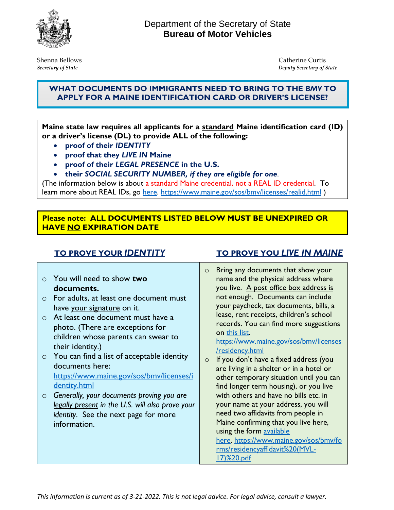

Shenna BellowsCatherine Curtis *Secretary of State Deputy Secretary of State*

## **WHAT DOCUMENTS DO IMMIGRANTS NEED TO BRING TO THE** *BMV* **TO APPLY FOR A MAINE IDENTIFICATION CARD OR DRIVER'S LICENSE?**

**Maine state law requires all applicants for a standard Maine identification card (ID) or a driver's license (DL) to provide ALL of the following:**

- **proof of their** *IDENTITY*
- **proof that they** *LIVE IN* **Maine**
- **proof of their** *LEGAL PRESENCE* **in the U.S.**
- **their** *SOCIAL SECURITY NUMBER, if they are eligible for one*.

(The information below is about a standard Maine credential, not a REAL ID credential. To learn more about REAL IDs, go [here.](https://www.maine.gov/sos/bmv/licenses/realid.html) <https://www.maine.gov/sos/bmv/licenses/realid.html>)

### **Please note: ALL DOCUMENTS LISTED BELOW MUST BE UNEXPIRED OR HAVE NO EXPIRATION DATE**

- o You will need to show **two documents.**
- o For adults, at least one document must have your signature on it.
- o At least one document must have a photo. (There are exceptions for children whose parents can swear to their identity.)
- o You can find a list of acceptable identity documents here: [https://www.maine.gov/sos/bmv/licenses/i](https://www.maine.gov/sos/bmv/licenses/identity.html) [dentity.html](https://www.maine.gov/sos/bmv/licenses/identity.html)
- o *Generally, your documents proving you are legally present in the U.S. will also prove your identity*. See the next page for more information.

## **TO PROVE YOUR** *IDENTITY* **TO PROVE YOU** *LIVE IN MAINE*

o Bring any documents that show your name and the physical address where you live. A post office box address is not enough. Documents can include your paycheck, tax documents, bills, a lease, rent receipts, children's school records. You can find more suggestions on [this list.](https://www.maine.gov/sos/bmv/licenses/residency.html)

[https://www.maine.gov/sos/bmv/licenses](https://www.maine.gov/sos/bmv/licenses/residency.html) [/residency.html](https://www.maine.gov/sos/bmv/licenses/residency.html)

o If you don't have a fixed address (you are living in a shelter or in a hotel or other temporary situation until you can find longer term housing), or you live with others and have no bills etc. in your name at your address, you will need two affidavits from people in Maine confirming that you live here, using the form [available](https://gcc02.safelinks.protection.outlook.com/?url=https%3A%2F%2Fwww.maine.gov%2Fsos%2Fbmv%2Fforms%2Fresidencyaffidavit%2520(MVL-17)%2520.pdf&data=04%7C01%7CBeth.Stickney%40maine.gov%7C2609ade8f073455b11c608d9aeaf0fdc%7C413fa8ab207d4b629bcdea1a8f2f864e%7C0%7C0%7C637732889165764801%7CUnknown%7CTWFpbGZsb3d8eyJWIjoiMC4wLjAwMDAiLCJQIjoiV2luMzIiLCJBTiI6Ik1haWwiLCJXVCI6Mn0%3D%7C3000&sdata=4wuBLBzqfFkK6e6CYR1OqyQ1ufCZsLhTeWcO5yiLemo%3D&reserved=0)  [here.](https://gcc02.safelinks.protection.outlook.com/?url=https%3A%2F%2Fwww.maine.gov%2Fsos%2Fbmv%2Fforms%2Fresidencyaffidavit%2520(MVL-17)%2520.pdf&data=04%7C01%7CBeth.Stickney%40maine.gov%7C2609ade8f073455b11c608d9aeaf0fdc%7C413fa8ab207d4b629bcdea1a8f2f864e%7C0%7C0%7C637732889165764801%7CUnknown%7CTWFpbGZsb3d8eyJWIjoiMC4wLjAwMDAiLCJQIjoiV2luMzIiLCJBTiI6Ik1haWwiLCJXVCI6Mn0%3D%7C3000&sdata=4wuBLBzqfFkK6e6CYR1OqyQ1ufCZsLhTeWcO5yiLemo%3D&reserved=0) [https://www.maine.gov/sos/bmv/fo](https://www.maine.gov/sos/bmv/forms/residencyaffidavit%20(MVL-17)%20.pdf) [rms/residencyaffidavit%20\(MVL-](https://www.maine.gov/sos/bmv/forms/residencyaffidavit%20(MVL-17)%20.pdf)[17\)%20.pdf](https://www.maine.gov/sos/bmv/forms/residencyaffidavit%20(MVL-17)%20.pdf)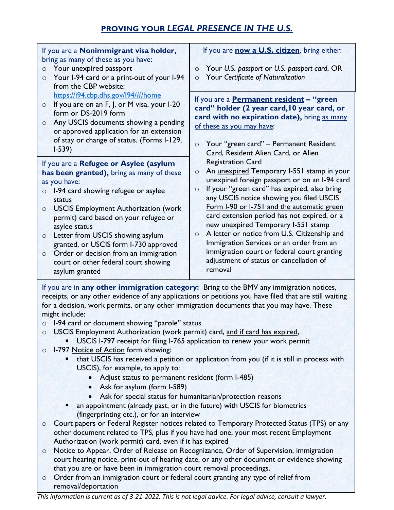# **PROVING YOUR** *LEGAL PRESENCE IN THE U.S.*

| If you are a Nonimmigrant visa holder,<br>bring as many of these as you have:                                                                                                                                                                                                                                    | If you are now a U.S. citizen, bring either:                                                        |
|------------------------------------------------------------------------------------------------------------------------------------------------------------------------------------------------------------------------------------------------------------------------------------------------------------------|-----------------------------------------------------------------------------------------------------|
| Your unexpired passport<br>$\circ$                                                                                                                                                                                                                                                                               | Your U.S. passport or U.S. passport card, OR<br>$\circ$                                             |
| Your I-94 card or a print-out of your I-94<br>$\circ$<br>from the CBP website:                                                                                                                                                                                                                                   | Your Certificate of Naturalization<br>$\circ$                                                       |
| https://i94.cbp.dhs.gov/l94/#/home                                                                                                                                                                                                                                                                               |                                                                                                     |
| If you are on an F, J, or M visa, your I-20<br>$\circ$                                                                                                                                                                                                                                                           | If you are a <b>Permanent resident</b> - "green<br>card" holder (2 year card, 10 year card, or      |
| form or DS-2019 form                                                                                                                                                                                                                                                                                             | card with no expiration date), bring as many                                                        |
| Any USCIS documents showing a pending<br>$\circ$<br>or approved application for an extension                                                                                                                                                                                                                     | of these as you may have:                                                                           |
| of stay or change of status. (Forms I-129,                                                                                                                                                                                                                                                                       |                                                                                                     |
| $1 - 539$                                                                                                                                                                                                                                                                                                        | Your "green card" - Permanent Resident<br>$\circ$<br>Card, Resident Alien Card, or Alien            |
| If you are a Refugee or Asylee (asylum                                                                                                                                                                                                                                                                           | <b>Registration Card</b>                                                                            |
| has been granted), bring as many of these                                                                                                                                                                                                                                                                        | An unexpired Temporary I-551 stamp in your<br>$\circ$                                               |
| as you have:                                                                                                                                                                                                                                                                                                     | unexpired foreign passport or on an I-94 card                                                       |
| I-94 card showing refugee or asylee<br>$\circ$                                                                                                                                                                                                                                                                   | If your "green card" has expired, also bring<br>$\circ$<br>any USCIS notice showing you filed USCIS |
| status<br><b>USCIS Employment Authorization (work</b><br>$\circ$                                                                                                                                                                                                                                                 | Form I-90 or I-751 and the automatic green                                                          |
| permit) card based on your refugee or                                                                                                                                                                                                                                                                            | card extension period has not expired, or a                                                         |
| asylee status                                                                                                                                                                                                                                                                                                    | new unexpired Temporary I-551 stamp                                                                 |
| Letter from USCIS showing asylum<br>$\circ$                                                                                                                                                                                                                                                                      | A letter or notice from U.S. Citizenship and<br>$\circ$<br>Immigration Services or an order from an |
| granted, or USCIS form I-730 approved<br>Order or decision from an immigration<br>$\circ$                                                                                                                                                                                                                        | immigration court or federal court granting                                                         |
| court or other federal court showing                                                                                                                                                                                                                                                                             | adjustment of status or cancellation of                                                             |
| asylum granted                                                                                                                                                                                                                                                                                                   | removal                                                                                             |
| If you are in any other immigration category: Bring to the BMV any immigration notices,<br>receipts, or any other evidence of any applications or petitions you have filed that are still waiting<br>for a decision, work permits, or any other immigration documents that you may have. These<br>might include: |                                                                                                     |
| o I-94 card or document showing "parole" status                                                                                                                                                                                                                                                                  |                                                                                                     |
| USCIS Employment Authorization (work permit) card, and if card has expired,<br>$\circ$                                                                                                                                                                                                                           |                                                                                                     |
| USCIS I-797 receipt for filing I-765 application to renew your work permit                                                                                                                                                                                                                                       |                                                                                                     |
| I-797 Notice of Action form showing:<br>$\circ$<br>that USCIS has received a petition or application from you (if it is still in process with                                                                                                                                                                    |                                                                                                     |
| USCIS), for example, to apply to:                                                                                                                                                                                                                                                                                |                                                                                                     |
| Adjust status to permanent resident (form I-485)<br>$\bullet$                                                                                                                                                                                                                                                    |                                                                                                     |
| Ask for asylum (form I-589)                                                                                                                                                                                                                                                                                      |                                                                                                     |
| Ask for special status for humanitarian/protection reasons                                                                                                                                                                                                                                                       |                                                                                                     |
| an appointment (already past, or in the future) with USCIS for biometrics                                                                                                                                                                                                                                        |                                                                                                     |
| (fingerprinting etc.), or for an interview<br>Court papers or Federal Register notices related to Temporary Protected Status (TPS) or any<br>$\circ$                                                                                                                                                             |                                                                                                     |
| other document related to TPS, plus if you have had one, your most recent Employment                                                                                                                                                                                                                             |                                                                                                     |
| Authorization (work permit) card, even if it has expired                                                                                                                                                                                                                                                         |                                                                                                     |
| Notice to Appear, Order of Release on Recognizance, Order of Supervision, immigration<br>$\circ$                                                                                                                                                                                                                 |                                                                                                     |
| court hearing notice, print-out of hearing date, or any other document or evidence showing                                                                                                                                                                                                                       |                                                                                                     |

- that you are or have been in immigration court removal proceedings.
- o Order from an immigration court or federal court granting any type of relief from removal/deportation

*This information is current as of 3-21-2022. This is not legal advice. For legal advice, consult a lawyer.*